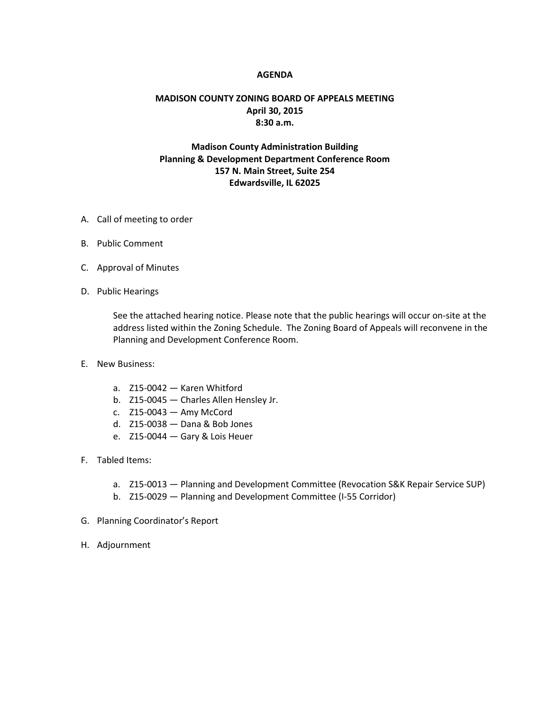## **AGENDA**

## **MADISON COUNTY ZONING BOARD OF APPEALS MEETING April 30, 2015 8:30 a.m.**

## **Madison County Administration Building Planning & Development Department Conference Room 157 N. Main Street, Suite 254 Edwardsville, IL 62025**

- A. Call of meeting to order
- B. Public Comment
- C. Approval of Minutes
- D. Public Hearings

See the attached hearing notice. Please note that the public hearings will occur on-site at the address listed within the Zoning Schedule. The Zoning Board of Appeals will reconvene in the Planning and Development Conference Room.

- E. New Business:
	- a. Z15-0042 Karen Whitford
	- b. Z15-0045 Charles Allen Hensley Jr.
	- c. Z15-0043 Amy McCord
	- d. Z15-0038 Dana & Bob Jones
	- e. Z15-0044 Gary & Lois Heuer
- F. Tabled Items:
	- a. Z15-0013 Planning and Development Committee (Revocation S&K Repair Service SUP)
	- b. Z15-0029 Planning and Development Committee (I-55 Corridor)
- G. Planning Coordinator's Report
- H. Adjournment